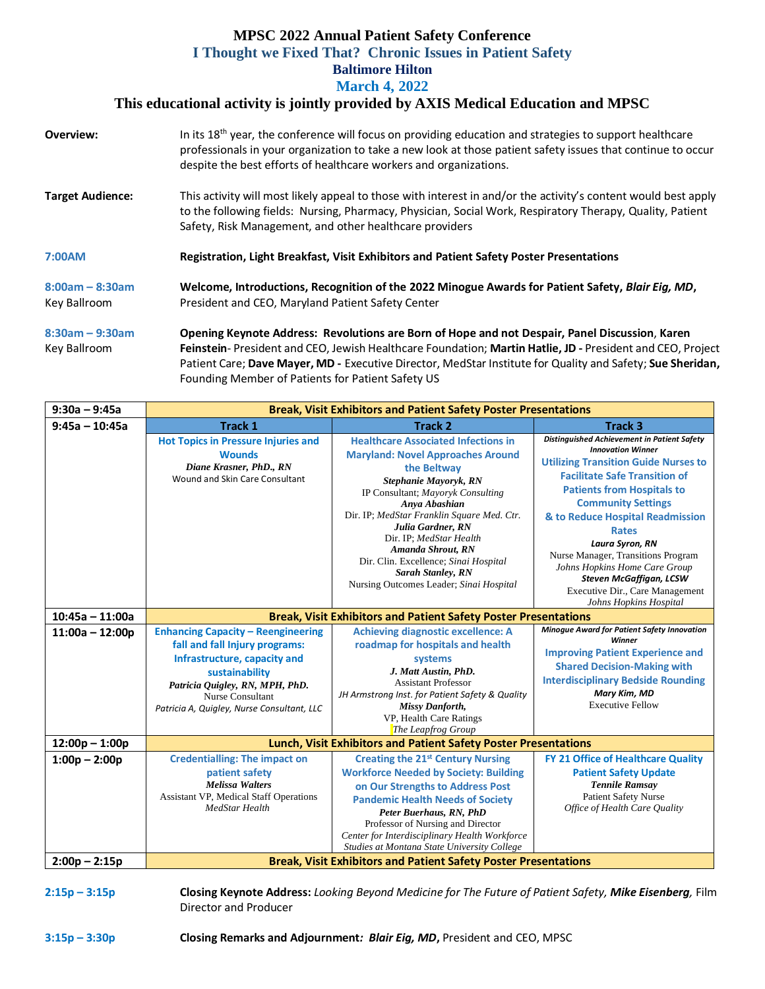## **MPSC 2022 Annual Patient Safety Conference I Thought we Fixed That? Chronic Issues in Patient Safety Baltimore Hilton March 4, 2022**

## **This educational activity is jointly provided by AXIS Medical Education and MPSC**

| <b>Overview:</b>                  | In its 18 <sup>th</sup> year, the conference will focus on providing education and strategies to support healthcare<br>professionals in your organization to take a new look at those patient safety issues that continue to occur<br>despite the best efforts of healthcare workers and organizations.                                                                        |  |  |  |  |
|-----------------------------------|--------------------------------------------------------------------------------------------------------------------------------------------------------------------------------------------------------------------------------------------------------------------------------------------------------------------------------------------------------------------------------|--|--|--|--|
| <b>Target Audience:</b>           | This activity will most likely appeal to those with interest in and/or the activity's content would best apply<br>to the following fields: Nursing, Pharmacy, Physician, Social Work, Respiratory Therapy, Quality, Patient<br>Safety, Risk Management, and other healthcare providers                                                                                         |  |  |  |  |
| 7:00AM                            | Registration, Light Breakfast, Visit Exhibitors and Patient Safety Poster Presentations                                                                                                                                                                                                                                                                                        |  |  |  |  |
| $8:00am - 8:30am$<br>Key Ballroom | Welcome, Introductions, Recognition of the 2022 Minogue Awards for Patient Safety, Blair Eig, MD,<br>President and CEO, Maryland Patient Safety Center                                                                                                                                                                                                                         |  |  |  |  |
| $8:30am - 9:30am$<br>Key Ballroom | Opening Keynote Address: Revolutions are Born of Hope and not Despair, Panel Discussion, Karen<br>Feinstein-President and CEO, Jewish Healthcare Foundation; Martin Hatlie, JD - President and CEO, Project<br>Patient Care; Dave Mayer, MD - Executive Director, MedStar Institute for Quality and Safety; Sue Sheridan,<br>Founding Member of Patients for Patient Safety US |  |  |  |  |

| $9:30a - 9:45a$   | <b>Break, Visit Exhibitors and Patient Safety Poster Presentations</b>                                                                                                                                                             |                                                                                                                                                                                                                                                                                                                                                                                                                  |                                                                                                                                                                                                                                                                                                                                                                                                                                                                               |  |  |  |  |  |
|-------------------|------------------------------------------------------------------------------------------------------------------------------------------------------------------------------------------------------------------------------------|------------------------------------------------------------------------------------------------------------------------------------------------------------------------------------------------------------------------------------------------------------------------------------------------------------------------------------------------------------------------------------------------------------------|-------------------------------------------------------------------------------------------------------------------------------------------------------------------------------------------------------------------------------------------------------------------------------------------------------------------------------------------------------------------------------------------------------------------------------------------------------------------------------|--|--|--|--|--|
| $9:45a - 10:45a$  | <b>Track 1</b>                                                                                                                                                                                                                     | <b>Track 2</b>                                                                                                                                                                                                                                                                                                                                                                                                   | <b>Track 3</b>                                                                                                                                                                                                                                                                                                                                                                                                                                                                |  |  |  |  |  |
|                   | <b>Hot Topics in Pressure Injuries and</b><br><b>Wounds</b><br>Diane Krasner, PhD., RN<br>Wound and Skin Care Consultant                                                                                                           | <b>Healthcare Associated Infections in</b><br><b>Maryland: Novel Approaches Around</b><br>the Beltway<br>Stephanie Mayoryk, RN<br>IP Consultant; Mayoryk Consulting<br>Anya Abashian<br>Dir. IP; MedStar Franklin Square Med. Ctr.<br>Julia Gardner, RN<br>Dir. IP; MedStar Health<br>Amanda Shrout, RN<br>Dir. Clin. Excellence; Sinai Hospital<br>Sarah Stanley, RN<br>Nursing Outcomes Leader; Sinai Hospital | Distinguished Achievement in Patient Safety<br><b>Innovation Winner</b><br><b>Utilizing Transition Guide Nurses to</b><br><b>Facilitate Safe Transition of</b><br><b>Patients from Hospitals to</b><br><b>Community Settings</b><br>& to Reduce Hospital Readmission<br><b>Rates</b><br>Laura Syron, RN<br>Nurse Manager, Transitions Program<br>Johns Hopkins Home Care Group<br><b>Steven McGaffigan, LCSW</b><br>Executive Dir., Care Management<br>Johns Hopkins Hospital |  |  |  |  |  |
| $10:45a - 11:00a$ | <b>Break, Visit Exhibitors and Patient Safety Poster Presentations</b>                                                                                                                                                             |                                                                                                                                                                                                                                                                                                                                                                                                                  |                                                                                                                                                                                                                                                                                                                                                                                                                                                                               |  |  |  |  |  |
| $11:00a - 12:00p$ | <b>Enhancing Capacity - Reengineering</b><br>fall and fall Injury programs:<br>Infrastructure, capacity and<br>sustainability<br>Patricia Quigley, RN, MPH, PhD.<br>Nurse Consultant<br>Patricia A, Quigley, Nurse Consultant, LLC | <b>Achieving diagnostic excellence: A</b><br>roadmap for hospitals and health<br>systems<br>J. Matt Austin, PhD.<br><b>Assistant Professor</b><br>JH Armstrong Inst. for Patient Safety & Quality<br><b>Missy Danforth,</b><br>VP, Health Care Ratings<br>The Leapfrog Group                                                                                                                                     | Minogue Award for Patient Safety Innovation<br>Winner<br><b>Improving Patient Experience and</b><br><b>Shared Decision-Making with</b><br><b>Interdisciplinary Bedside Rounding</b><br>Mary Kim, MD<br><b>Executive Fellow</b>                                                                                                                                                                                                                                                |  |  |  |  |  |
| $12:00p - 1:00p$  | <b>Lunch, Visit Exhibitors and Patient Safety Poster Presentations</b>                                                                                                                                                             |                                                                                                                                                                                                                                                                                                                                                                                                                  |                                                                                                                                                                                                                                                                                                                                                                                                                                                                               |  |  |  |  |  |
| $1:00p - 2:00p$   | <b>Credentialling: The impact on</b><br>patient safety<br><b>Melissa Walters</b><br><b>Assistant VP, Medical Staff Operations</b><br>MedStar Health                                                                                | <b>Creating the 21st Century Nursing</b><br><b>Workforce Needed by Society: Building</b><br>on Our Strengths to Address Post<br><b>Pandemic Health Needs of Society</b><br>Peter Buerhaus, RN, PhD<br>Professor of Nursing and Director<br>Center for Interdisciplinary Health Workforce<br>Studies at Montana State University College                                                                          | FY 21 Office of Healthcare Quality<br><b>Patient Safety Update</b><br><b>Tennile Ramsay</b><br><b>Patient Safety Nurse</b><br>Office of Health Care Quality                                                                                                                                                                                                                                                                                                                   |  |  |  |  |  |
| $2:00p - 2:15p$   | <b>Break, Visit Exhibitors and Patient Safety Poster Presentations</b>                                                                                                                                                             |                                                                                                                                                                                                                                                                                                                                                                                                                  |                                                                                                                                                                                                                                                                                                                                                                                                                                                                               |  |  |  |  |  |

**2:15p – 3:15p Closing Keynote Address:** *Looking Beyond Medicine for The Future of Patient Safety, Mike Eisenberg,* Film Director and Producer